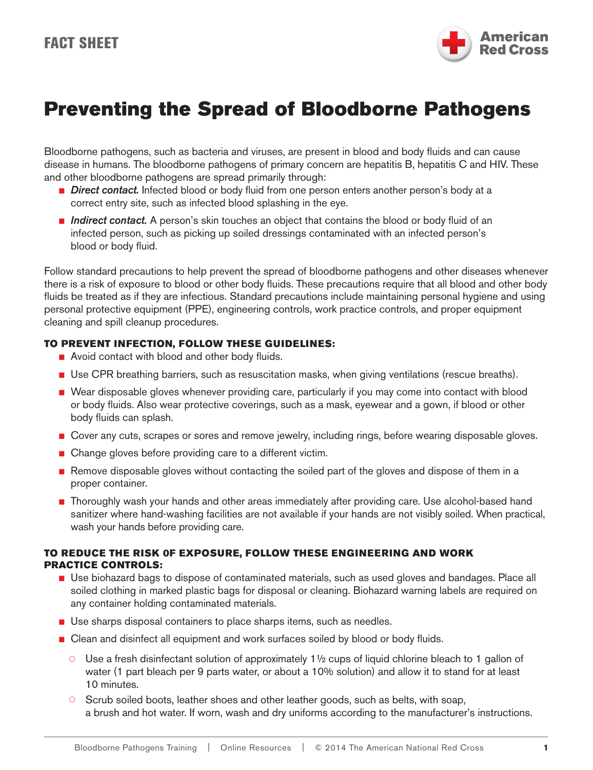

# Preventing the Spread of Bloodborne Pathogens

Bloodborne pathogens, such as bacteria and viruses, are present in blood and body fluids and can cause disease in humans. The bloodborne pathogens of primary concern are hepatitis B, hepatitis C and HIV. These and other bloodborne pathogens are spread primarily through:

- *Direct contact.* Infected blood or body fluid from one person enters another person's body at a correct entry site, such as infected blood splashing in the eye.
- *Indirect contact.* A person's skin touches an object that contains the blood or body fluid of an infected person, such as picking up soiled dressings contaminated with an infected person's blood or body fluid.

Follow standard precautions to help prevent the spread of bloodborne pathogens and other diseases whenever there is a risk of exposure to blood or other body fluids. These precautions require that all blood and other body fluids be treated as if they are infectious. Standard precautions include maintaining personal hygiene and using personal protective equipment (PPE), engineering controls, work practice controls, and proper equipment cleaning and spill cleanup procedures.

### TO PREVENT INFECTION, FOLLOW THESE GUIDELINES:

- Avoid contact with blood and other body fluids.
- Use CPR breathing barriers, such as resuscitation masks, when giving ventilations (rescue breaths).
- Wear disposable gloves whenever providing care, particularly if you may come into contact with blood or body fluids. Also wear protective coverings, such as a mask, eyewear and a gown, if blood or other body fluids can splash.
- Cover any cuts, scrapes or sores and remove jewelry, including rings, before wearing disposable gloves.
- Change gloves before providing care to a different victim.
- Remove disposable gloves without contacting the soiled part of the gloves and dispose of them in a proper container.
- Thoroughly wash your hands and other areas immediately after providing care. Use alcohol-based hand sanitizer where hand-washing facilities are not available if your hands are not visibly soiled. When practical, wash your hands before providing care.

### TO REDUCE THE RISK 0F EXPOSURE, FOLLOW THESE ENGINEERING AND WORK PRACTICE CONTROLS:

- Use biohazard bags to dispose of contaminated materials, such as used gloves and bandages. Place all soiled clothing in marked plastic bags for disposal or cleaning. Biohazard warning labels are required on any container holding contaminated materials.
- Use sharps disposal containers to place sharps items, such as needles.
- Clean and disinfect all equipment and work surfaces soiled by blood or body fluids.
	- $\circ$  Use a fresh disinfectant solution of approximately 1½ cups of liquid chlorine bleach to 1 gallon of water (1 part bleach per 9 parts water, or about a 10% solution) and allow it to stand for at least 10 minutes.
	- $\circ$  Scrub soiled boots, leather shoes and other leather goods, such as belts, with soap, a brush and hot water. If worn, wash and dry uniforms according to the manufacturer's instructions.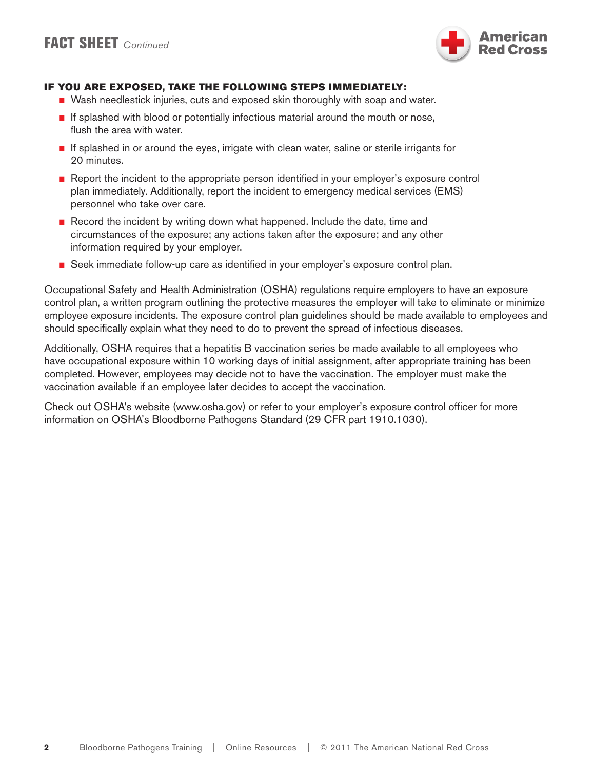

### IF YOU ARE EXPOSED, TAKE THE FOLLOWING STEPS IMMEDIATELY:

- Wash needlestick injuries, cuts and exposed skin thoroughly with soap and water.
- If splashed with blood or potentially infectious material around the mouth or nose, flush the area with water.
- If splashed in or around the eyes, irrigate with clean water, saline or sterile irrigants for 20 minutes.
- Report the incident to the appropriate person identified in your employer's exposure control plan immediately. Additionally, report the incident to emergency medical services (EMS) personnel who take over care.
- Record the incident by writing down what happened. Include the date, time and circumstances of the exposure; any actions taken after the exposure; and any other information required by your employer.
- Seek immediate follow-up care as identified in your employer's exposure control plan.

Occupational Safety and Health Administration (OSHA) regulations require employers to have an exposure control plan, a written program outlining the protective measures the employer will take to eliminate or minimize employee exposure incidents. The exposure control plan guidelines should be made available to employees and should specifically explain what they need to do to prevent the spread of infectious diseases.

Additionally, OSHA requires that a hepatitis B vaccination series be made available to all employees who have occupational exposure within 10 working days of initial assignment, after appropriate training has been completed. However, employees may decide not to have the vaccination. The employer must make the vaccination available if an employee later decides to accept the vaccination.

Check out OSHA's website (www.osha.gov) or refer to your employer's exposure control officer for more information on OSHA's Bloodborne Pathogens Standard (29 CFR part 1910.1030).